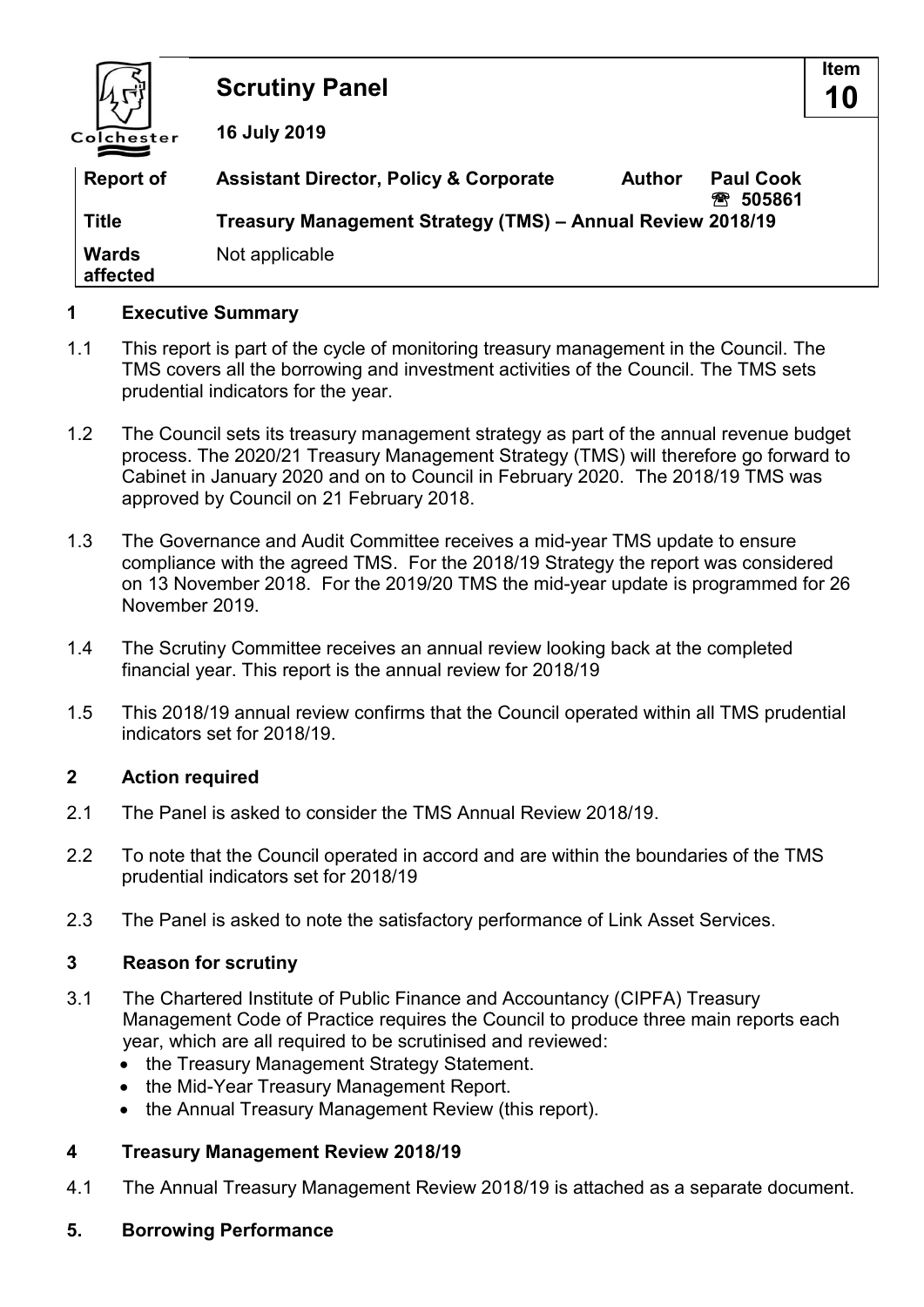

### **1 Executive Summary**

- 1.1 This report is part of the cycle of monitoring treasury management in the Council. The TMS covers all the borrowing and investment activities of the Council. The TMS sets prudential indicators for the year.
- 1.2 The Council sets its treasury management strategy as part of the annual revenue budget process. The 2020/21 Treasury Management Strategy (TMS) will therefore go forward to Cabinet in January 2020 and on to Council in February 2020. The 2018/19 TMS was approved by Council on 21 February 2018.
- 1.3 The Governance and Audit Committee receives a mid-year TMS update to ensure compliance with the agreed TMS. For the 2018/19 Strategy the report was considered on 13 November 2018. For the 2019/20 TMS the mid-year update is programmed for 26 November 2019.
- 1.4 The Scrutiny Committee receives an annual review looking back at the completed financial year. This report is the annual review for 2018/19
- 1.5 This 2018/19 annual review confirms that the Council operated within all TMS prudential indicators set for 2018/19.

### **2 Action required**

- 2.1 The Panel is asked to consider the TMS Annual Review 2018/19.
- 2.2 To note that the Council operated in accord and are within the boundaries of the TMS prudential indicators set for 2018/19
- 2.3 The Panel is asked to note the satisfactory performance of Link Asset Services.

### **3 Reason for scrutiny**

- 3.1 The Chartered Institute of Public Finance and Accountancy (CIPFA) Treasury Management Code of Practice requires the Council to produce three main reports each year, which are all required to be scrutinised and reviewed:
	- the Treasury Management Strategy Statement.
	- the Mid-Year Treasury Management Report.
	- the Annual Treasury Management Review (this report).

### **4 Treasury Management Review 2018/19**

4.1 The Annual Treasury Management Review 2018/19 is attached as a separate document.

#### **5. Borrowing Performance**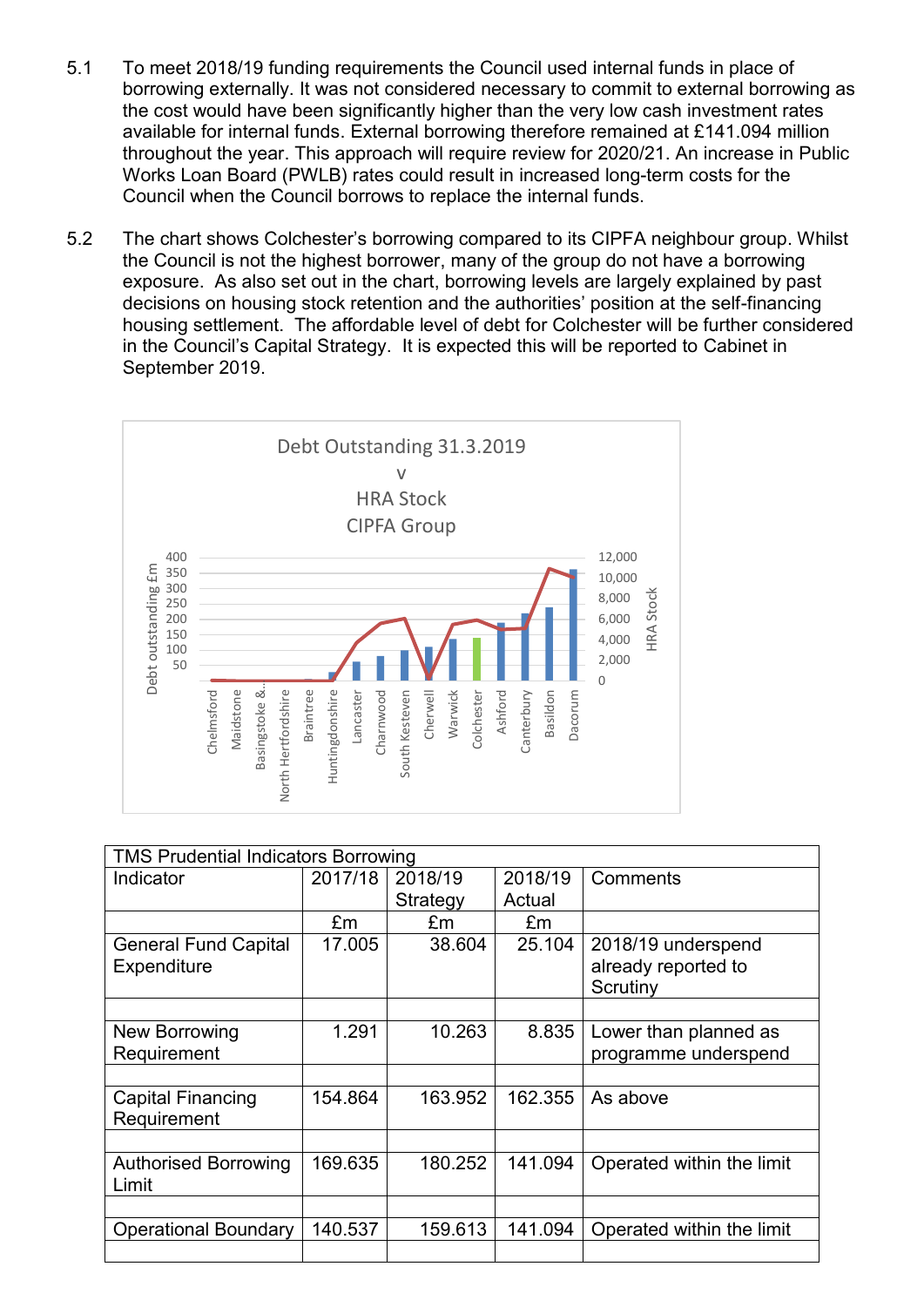- 5.1 To meet 2018/19 funding requirements the Council used internal funds in place of borrowing externally. It was not considered necessary to commit to external borrowing as the cost would have been significantly higher than the very low cash investment rates available for internal funds. External borrowing therefore remained at £141.094 million throughout the year. This approach will require review for 2020/21. An increase in Public Works Loan Board (PWLB) rates could result in increased long-term costs for the Council when the Council borrows to replace the internal funds.
- 5.2 The chart shows Colchester's borrowing compared to its CIPFA neighbour group. Whilst the Council is not the highest borrower, many of the group do not have a borrowing exposure. As also set out in the chart, borrowing levels are largely explained by past decisions on housing stock retention and the authorities' position at the self-financing housing settlement. The affordable level of debt for Colchester will be further considered in the Council's Capital Strategy. It is expected this will be reported to Cabinet in September 2019.



| <b>TMS Prudential Indicators Borrowing</b> |         |          |         |                                                       |  |
|--------------------------------------------|---------|----------|---------|-------------------------------------------------------|--|
| Indicator                                  | 2017/18 | 2018/19  | 2018/19 | Comments                                              |  |
|                                            |         | Strategy | Actual  |                                                       |  |
|                                            | £m      | £m       | £m      |                                                       |  |
| <b>General Fund Capital</b><br>Expenditure | 17.005  | 38.604   | 25.104  | 2018/19 underspend<br>already reported to<br>Scrutiny |  |
|                                            |         |          |         |                                                       |  |
| New Borrowing<br>Requirement               | 1.291   | 10.263   | 8.835   | Lower than planned as<br>programme underspend         |  |
|                                            |         |          |         |                                                       |  |
| <b>Capital Financing</b><br>Requirement    | 154.864 | 163.952  | 162.355 | As above                                              |  |
|                                            |         |          |         |                                                       |  |
| <b>Authorised Borrowing</b><br>Limit       | 169.635 | 180.252  | 141.094 | Operated within the limit                             |  |
|                                            |         |          |         |                                                       |  |
| <b>Operational Boundary</b>                | 140.537 | 159.613  | 141.094 | Operated within the limit                             |  |
|                                            |         |          |         |                                                       |  |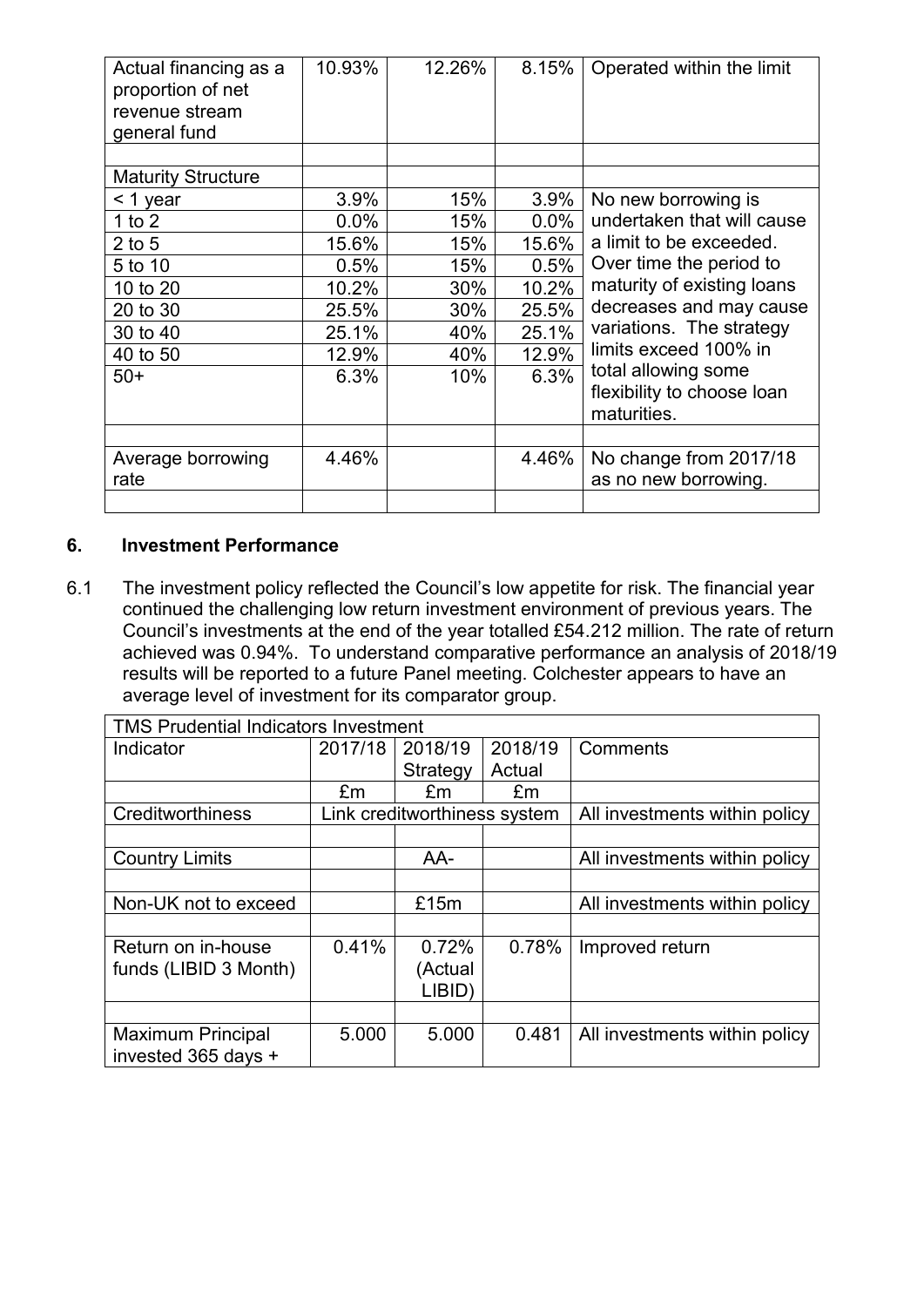| Actual financing as a<br>proportion of net<br>revenue stream<br>general fund | 10.93% | 12.26% | 8.15%   | Operated within the limit                                        |
|------------------------------------------------------------------------------|--------|--------|---------|------------------------------------------------------------------|
|                                                                              |        |        |         |                                                                  |
| <b>Maturity Structure</b>                                                    |        |        |         |                                                                  |
| < 1 year                                                                     | 3.9%   | 15%    | 3.9%    | No new borrowing is                                              |
| 1 to $2$                                                                     | 0.0%   | 15%    | $0.0\%$ | undertaken that will cause                                       |
| $2$ to 5                                                                     | 15.6%  | 15%    | 15.6%   | a limit to be exceeded.                                          |
| 5 to 10                                                                      | 0.5%   | 15%    | 0.5%    | Over time the period to                                          |
| 10 to 20                                                                     | 10.2%  | 30%    | 10.2%   | maturity of existing loans                                       |
| 20 to 30                                                                     | 25.5%  | 30%    | 25.5%   | decreases and may cause                                          |
| 30 to 40                                                                     | 25.1%  | 40%    | 25.1%   | variations. The strategy                                         |
| 40 to 50                                                                     | 12.9%  | 40%    | 12.9%   | limits exceed 100% in                                            |
| $50+$                                                                        | 6.3%   | 10%    | 6.3%    | total allowing some<br>flexibility to choose loan<br>maturities. |
|                                                                              |        |        |         |                                                                  |
| Average borrowing<br>rate                                                    | 4.46%  |        | 4.46%   | No change from 2017/18<br>as no new borrowing.                   |
|                                                                              |        |        |         |                                                                  |

### **6. Investment Performance**

6.1 The investment policy reflected the Council's low appetite for risk. The financial year continued the challenging low return investment environment of previous years. The Council's investments at the end of the year totalled £54.212 million. The rate of return achieved was 0.94%. To understand comparative performance an analysis of 2018/19 results will be reported to a future Panel meeting. Colchester appears to have an average level of investment for its comparator group.

| <b>TMS Prudential Indicators Investment</b> |                |                              |         |                               |  |  |
|---------------------------------------------|----------------|------------------------------|---------|-------------------------------|--|--|
| Indicator                                   | 2017/18        | 2018/19                      | 2018/19 | Comments                      |  |  |
|                                             |                | Strategy                     | Actual  |                               |  |  |
|                                             | E <sub>m</sub> | £m                           | £m      |                               |  |  |
| Creditworthiness                            |                | Link creditworthiness system |         | All investments within policy |  |  |
|                                             |                |                              |         |                               |  |  |
| <b>Country Limits</b>                       |                | AA-                          |         | All investments within policy |  |  |
|                                             |                |                              |         |                               |  |  |
| Non-UK not to exceed                        |                | £15m                         |         | All investments within policy |  |  |
|                                             |                |                              |         |                               |  |  |
| Return on in-house                          | 0.41%          | 0.72%                        | 0.78%   | Improved return               |  |  |
| funds (LIBID 3 Month)                       |                | (Actual                      |         |                               |  |  |
|                                             |                | LIBID)                       |         |                               |  |  |
|                                             |                |                              |         |                               |  |  |
| <b>Maximum Principal</b>                    | 5.000          | 5.000                        | 0.481   | All investments within policy |  |  |
| invested 365 days +                         |                |                              |         |                               |  |  |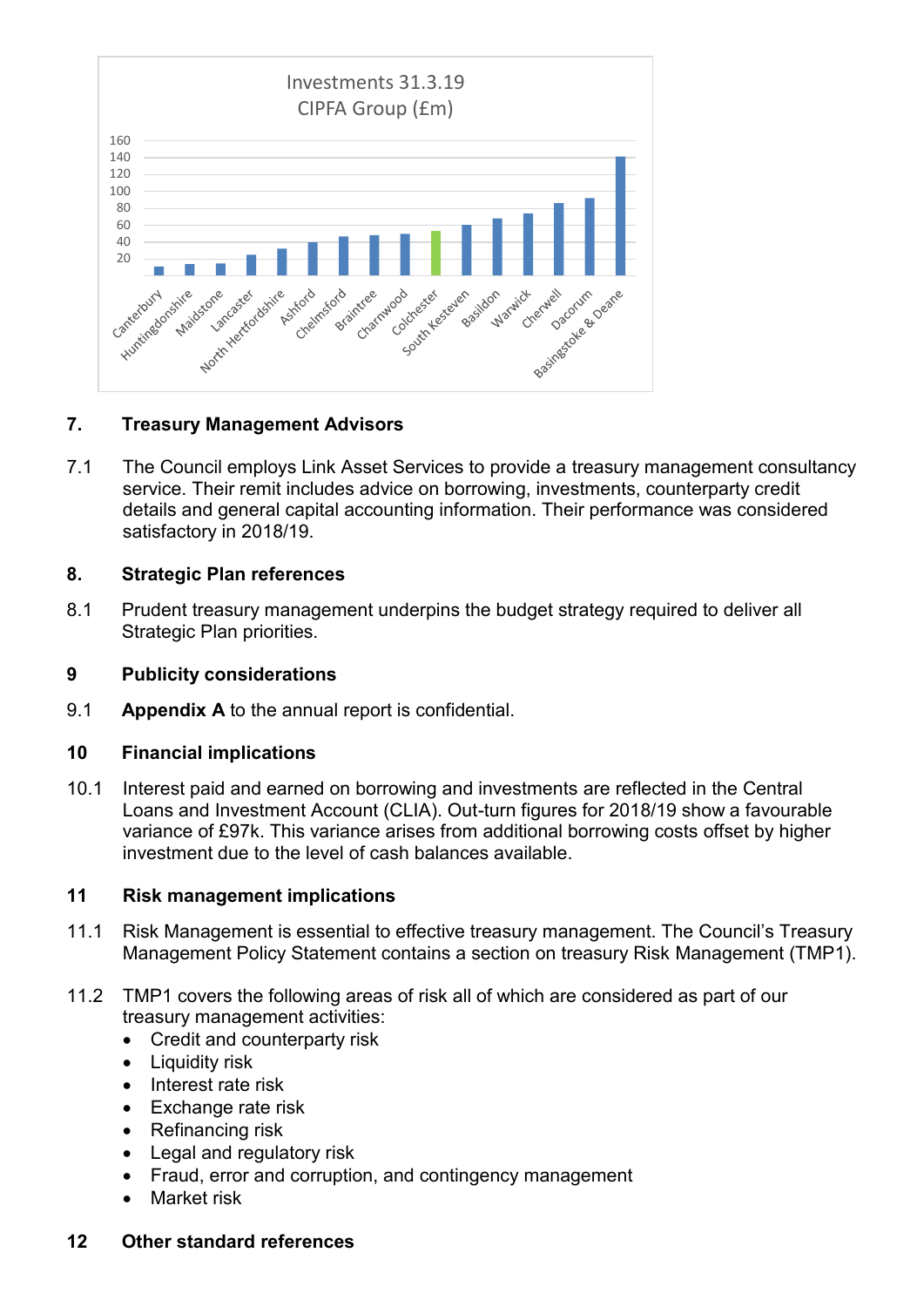

### **7. Treasury Management Advisors**

7.1 The Council employs Link Asset Services to provide a treasury management consultancy service. Their remit includes advice on borrowing, investments, counterparty credit details and general capital accounting information. Their performance was considered satisfactory in 2018/19.

### **8. Strategic Plan references**

8.1 Prudent treasury management underpins the budget strategy required to deliver all Strategic Plan priorities.

### **9 Publicity considerations**

9.1 **Appendix A** to the annual report is confidential.

### **10 Financial implications**

10.1 Interest paid and earned on borrowing and investments are reflected in the Central Loans and Investment Account (CLIA). Out-turn figures for 2018/19 show a favourable variance of £97k. This variance arises from additional borrowing costs offset by higher investment due to the level of cash balances available.

### **11 Risk management implications**

- 11.1 Risk Management is essential to effective treasury management. The Council's Treasury Management Policy Statement contains a section on treasury Risk Management (TMP1).
- 11.2 TMP1 covers the following areas of risk all of which are considered as part of our treasury management activities:
	- Credit and counterparty risk
	- Liquidity risk
	- Interest rate risk
	- Exchange rate risk
	- Refinancing risk
	- Legal and regulatory risk
	- Fraud, error and corruption, and contingency management
	- **Market risk**

### **12 Other standard references**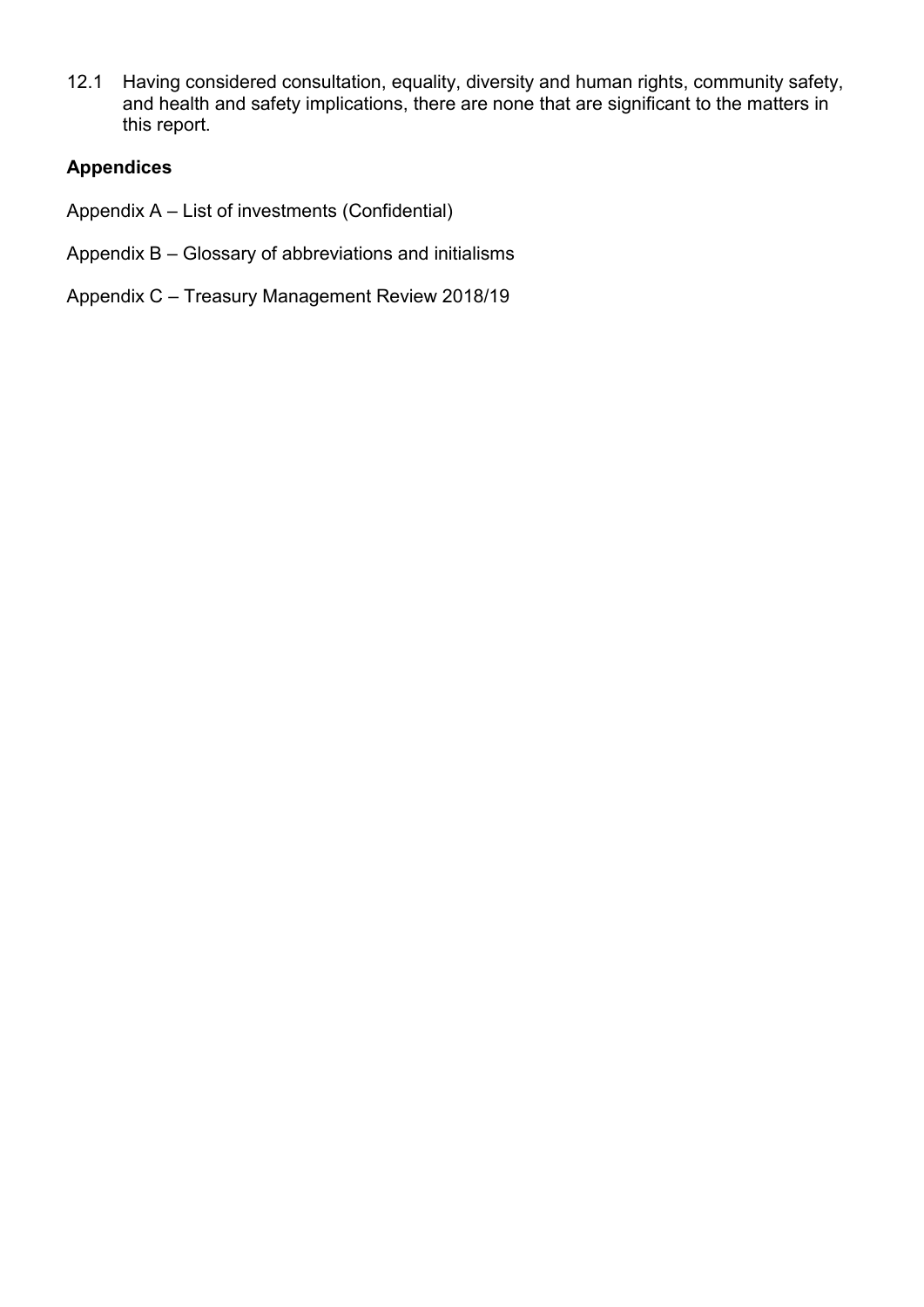12.1 Having considered consultation, equality, diversity and human rights, community safety, and health and safety implications, there are none that are significant to the matters in this report.

## **Appendices**

- Appendix A List of investments (Confidential)
- Appendix B Glossary of abbreviations and initialisms
- Appendix C Treasury Management Review 2018/19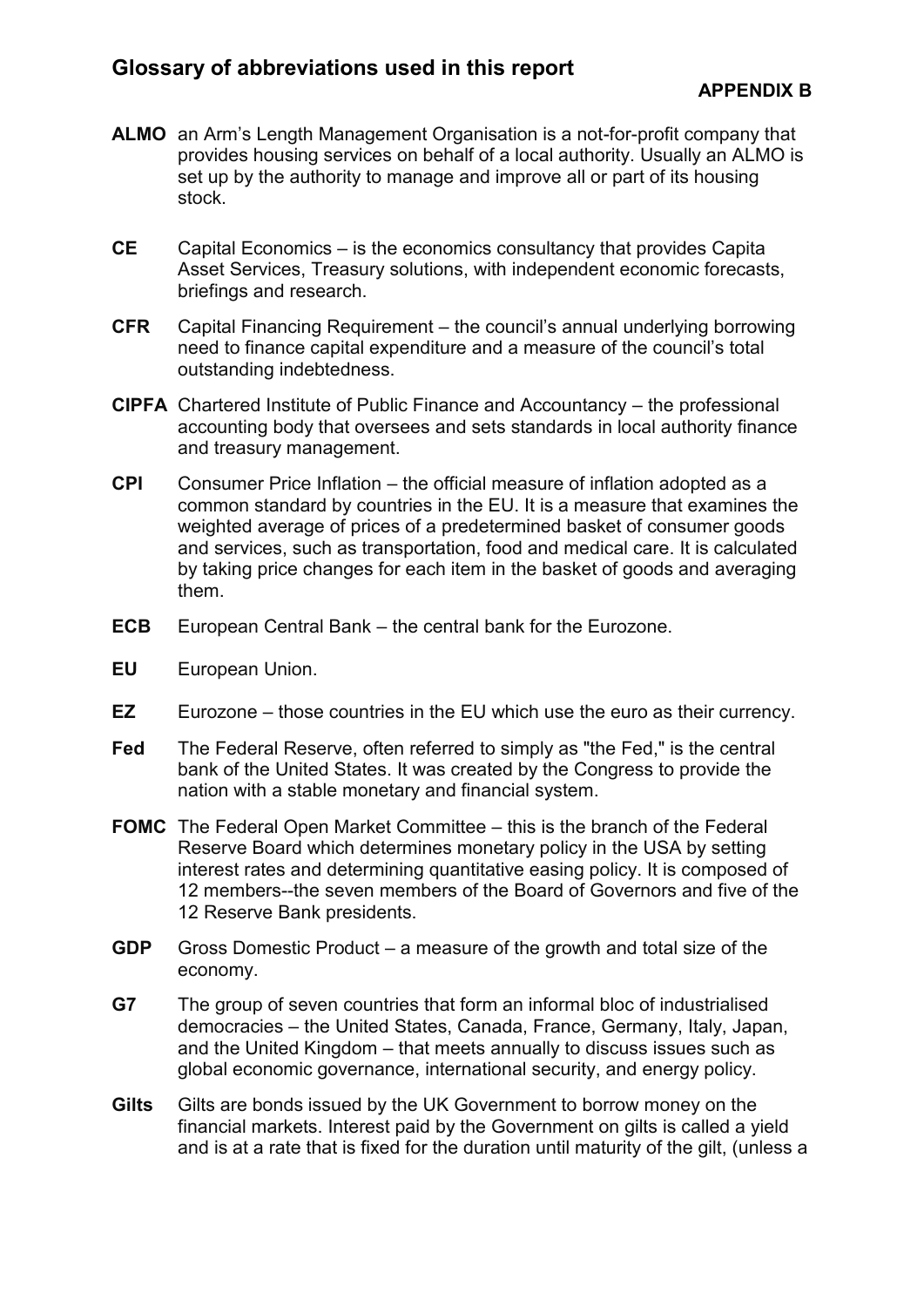- **ALMO** an Arm's Length Management Organisation is a not-for-profit company that provides housing services on behalf of a local authority. Usually an ALMO is set up by the authority to manage and improve all or part of its housing stock.
- **CE** Capital Economics is the economics consultancy that provides Capita Asset Services, Treasury solutions, with independent economic forecasts, briefings and research.
- **CFR** Capital Financing Requirement the council's annual underlying borrowing need to finance capital expenditure and a measure of the council's total outstanding indebtedness.
- **CIPFA** Chartered Institute of Public Finance and Accountancy the professional accounting body that oversees and sets standards in local authority finance and treasury management.
- **CPI** Consumer Price Inflation the official measure of inflation adopted as a common standard by countries in the EU. It is a measure that examines the weighted average of prices of a predetermined basket of consumer goods and services, such as transportation, food and medical care. It is calculated by taking price changes for each item in the basket of goods and averaging them.
- **ECB** European Central Bank the central bank for the Eurozone.
- **EU** European Union.
- **EZ** Eurozone those countries in the EU which use the euro as their currency.
- **Fed** The Federal Reserve, often referred to simply as "the Fed," is the central bank of the United States. It was created by the Congress to provide the nation with a stable monetary and financial system.
- **FOMC** The Federal Open Market Committee this is the branch of the Federal Reserve Board which determines monetary policy in the USA by setting interest rates and determining quantitative easing policy. It is composed of 12 members--the seven members of the Board of Governors and five of the 12 Reserve Bank presidents.
- **GDP** Gross Domestic Product a measure of the growth and total size of the economy.
- **G7** The group of seven countries that form an informal bloc of industrialised democracies – the United States, Canada, France, Germany, Italy, Japan, and the United Kingdom – that meets annually to discuss issues such as global economic governance, international security, and energy policy.
- **Gilts** Gilts are bonds issued by the UK Government to borrow money on the financial markets. Interest paid by the Government on gilts is called a yield and is at a rate that is fixed for the duration until maturity of the gilt, (unless a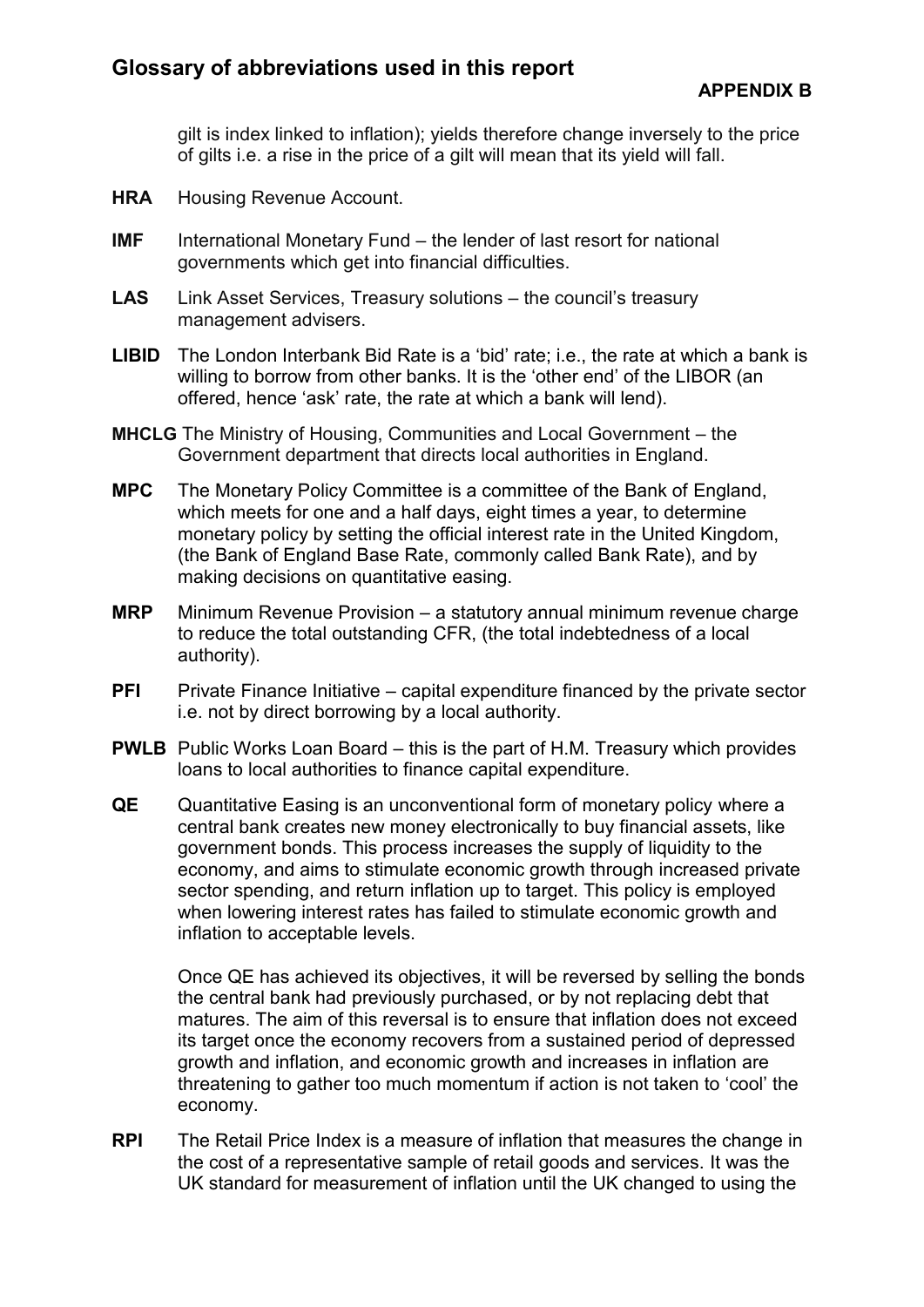gilt is index linked to inflation); yields therefore change inversely to the price of gilts i.e. a rise in the price of a gilt will mean that its yield will fall.

- **HRA** Housing Revenue Account.
- **IMF** International Monetary Fund the lender of last resort for national governments which get into financial difficulties.
- LAS Link Asset Services, Treasury solutions the council's treasury management advisers.
- **LIBID** The London Interbank Bid Rate is a 'bid' rate; i.e., the rate at which a bank is willing to borrow from other banks. It is the 'other end' of the LIBOR (an offered, hence 'ask' rate, the rate at which a bank will lend).
- **MHCLG** The Ministry of Housing, Communities and Local Government the Government department that directs local authorities in England.
- **MPC** The Monetary Policy Committee is a committee of the Bank of England, which meets for one and a half days, eight times a year, to determine monetary policy by setting the official interest rate in the United Kingdom, (the Bank of England Base Rate, commonly called Bank Rate), and by making decisions on quantitative easing.
- **MRP** Minimum Revenue Provision a statutory annual minimum revenue charge to reduce the total outstanding CFR, (the total indebtedness of a local authority).
- **PFI** Private Finance Initiative capital expenditure financed by the private sector i.e. not by direct borrowing by a local authority.
- **PWLB** Public Works Loan Board this is the part of H.M. Treasury which provides loans to local authorities to finance capital expenditure.
- **QE** Quantitative Easing is an unconventional form of monetary policy where a central bank creates new money electronically to buy financial assets, like government bonds. This process increases the supply of liquidity to the economy, and aims to stimulate economic growth through increased private sector spending, and return inflation up to target. This policy is employed when lowering interest rates has failed to stimulate economic growth and inflation to acceptable levels.

Once QE has achieved its objectives, it will be reversed by selling the bonds the central bank had previously purchased, or by not replacing debt that matures. The aim of this reversal is to ensure that inflation does not exceed its target once the economy recovers from a sustained period of depressed growth and inflation, and economic growth and increases in inflation are threatening to gather too much momentum if action is not taken to 'cool' the economy.

**RPI** The Retail Price Index is a measure of inflation that measures the change in the cost of a representative sample of retail goods and services. It was the UK standard for measurement of inflation until the UK changed to using the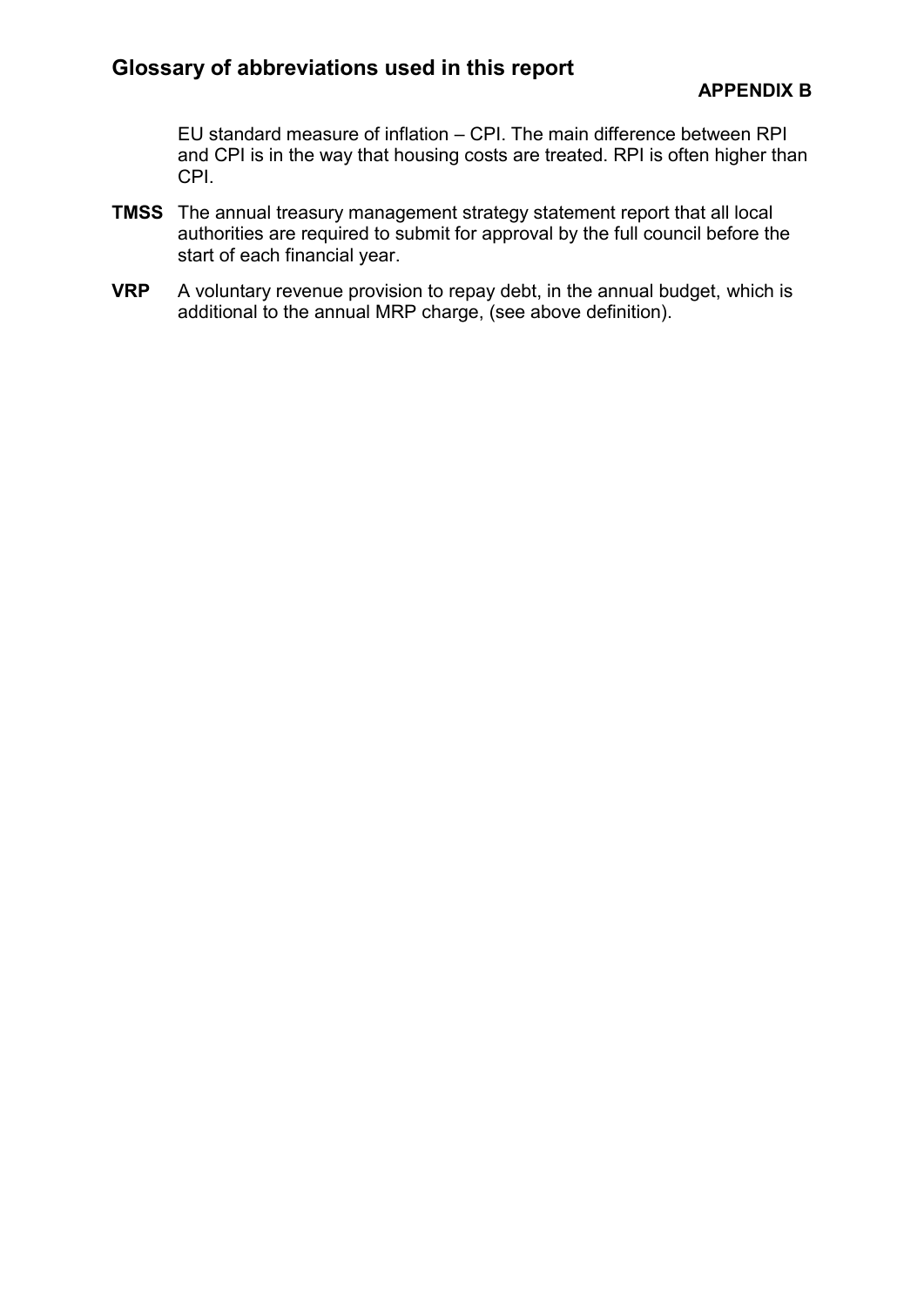EU standard measure of inflation – CPI. The main difference between RPI and CPI is in the way that housing costs are treated. RPI is often higher than CPI.

- **TMSS** The annual treasury management strategy statement report that all local authorities are required to submit for approval by the full council before the start of each financial year.
- **VRP** A voluntary revenue provision to repay debt, in the annual budget, which is additional to the annual MRP charge, (see above definition).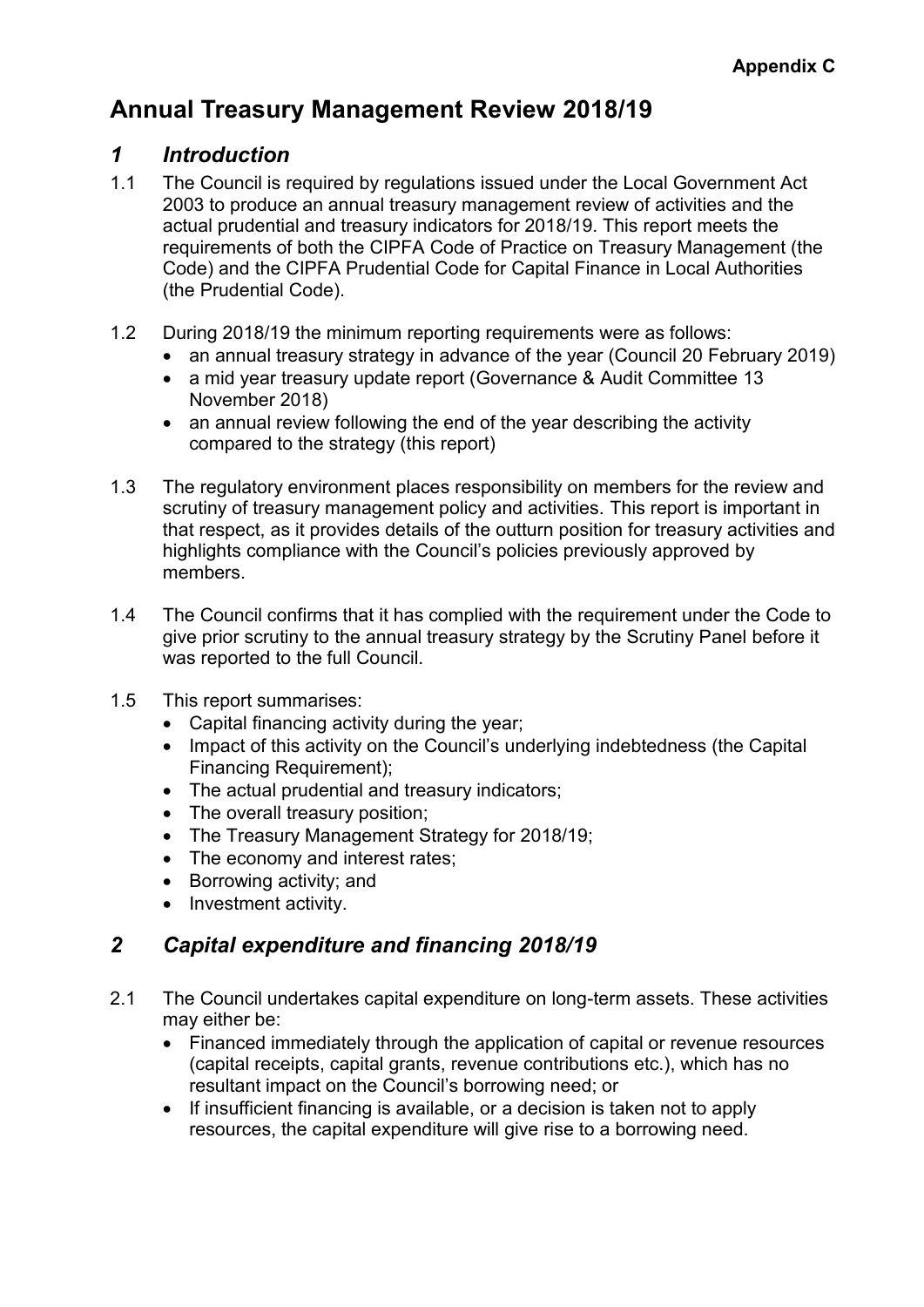# **Annual Treasury Management Review 2018/19**

## *1 Introduction*

- 1.1 The Council is required by regulations issued under the Local Government Act 2003 to produce an annual treasury management review of activities and the actual prudential and treasury indicators for 2018/19. This report meets the requirements of both the CIPFA Code of Practice on Treasury Management (the Code) and the CIPFA Prudential Code for Capital Finance in Local Authorities (the Prudential Code).
- 1.2 During 2018/19 the minimum reporting requirements were as follows:
	- an annual treasury strategy in advance of the year (Council 20 February 2019)
	- a mid year treasury update report (Governance & Audit Committee 13 November 2018)
	- an annual review following the end of the year describing the activity compared to the strategy (this report)
- 1.3 The regulatory environment places responsibility on members for the review and scrutiny of treasury management policy and activities. This report is important in that respect, as it provides details of the outturn position for treasury activities and highlights compliance with the Council's policies previously approved by members.
- 1.4 The Council confirms that it has complied with the requirement under the Code to give prior scrutiny to the annual treasury strategy by the Scrutiny Panel before it was reported to the full Council.
- 1.5 This report summarises:
	- Capital financing activity during the year;
	- Impact of this activity on the Council's underlying indebtedness (the Capital Financing Requirement);
	- The actual prudential and treasury indicators;
	- The overall treasury position;
	- The Treasury Management Strategy for 2018/19;
	- The economy and interest rates;
	- Borrowing activity; and
	- Investment activity.

# *2 Capital expenditure and financing 2018/19*

- 2.1 The Council undertakes capital expenditure on long-term assets. These activities may either be:
	- Financed immediately through the application of capital or revenue resources (capital receipts, capital grants, revenue contributions etc.), which has no resultant impact on the Council's borrowing need; or
	- If insufficient financing is available, or a decision is taken not to apply resources, the capital expenditure will give rise to a borrowing need.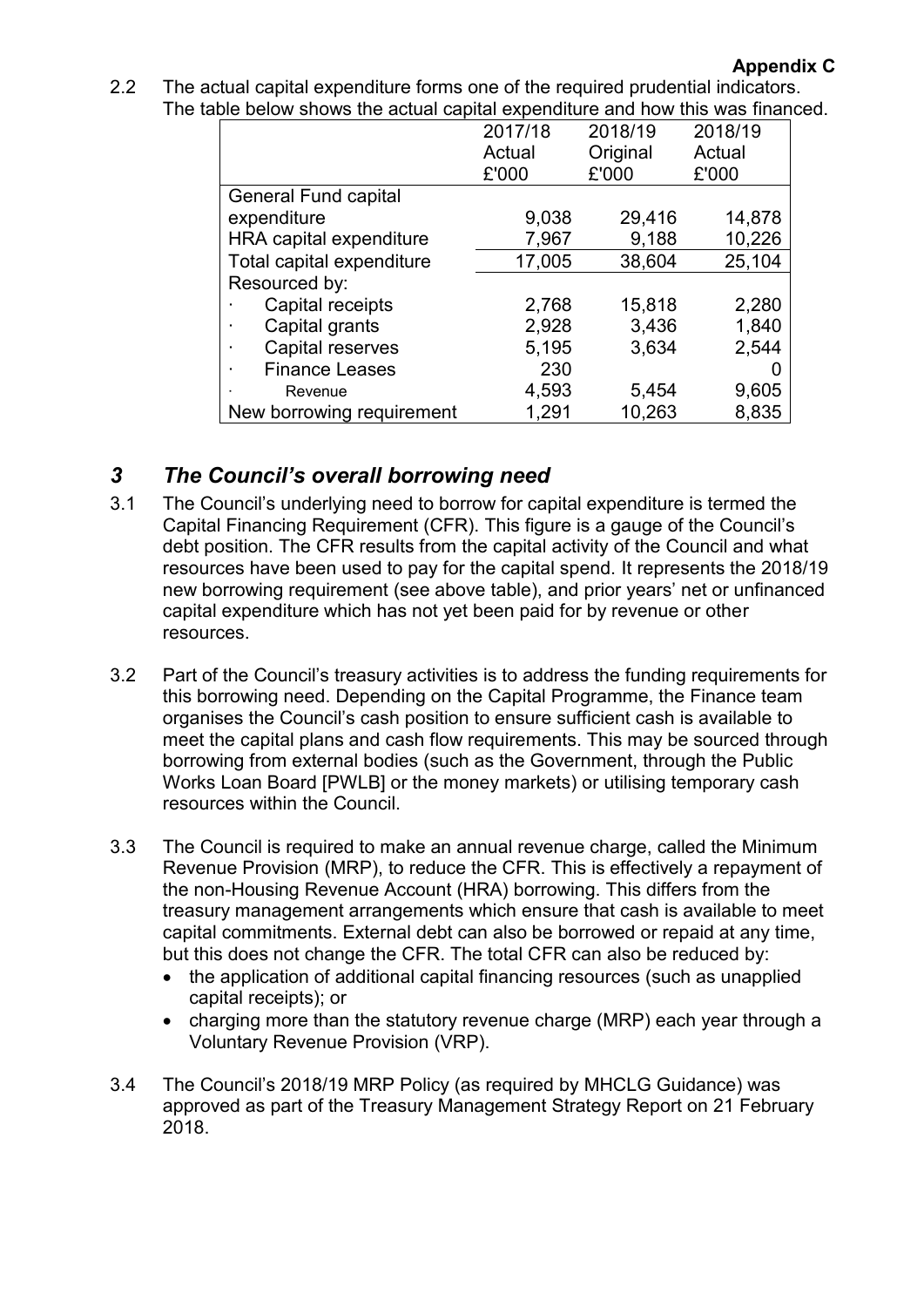| 2.2 | The actual capital expenditure forms one of the required prudential indicators. |
|-----|---------------------------------------------------------------------------------|
|     | The table below shows the actual capital expenditure and how this was financed. |

|                             | 2017/18 | 2018/19  | 2018/19 |
|-----------------------------|---------|----------|---------|
|                             | Actual  | Original | Actual  |
|                             | £'000   | £'000    | £'000   |
| <b>General Fund capital</b> |         |          |         |
| expenditure                 | 9,038   | 29,416   | 14,878  |
| HRA capital expenditure     | 7,967   | 9,188    | 10,226  |
| Total capital expenditure   | 17,005  | 38,604   | 25,104  |
| Resourced by:               |         |          |         |
| Capital receipts            | 2,768   | 15,818   | 2,280   |
| Capital grants              | 2,928   | 3,436    | 1,840   |
| Capital reserves            | 5,195   | 3,634    | 2,544   |
| <b>Finance Leases</b>       | 230     |          |         |
| Revenue                     | 4,593   | 5,454    | 9,605   |
| New borrowing requirement   | 1,291   | 10,263   | 8,835   |

# *3 The Council's overall borrowing need*

- 3.1 The Council's underlying need to borrow for capital expenditure is termed the Capital Financing Requirement (CFR). This figure is a gauge of the Council's debt position. The CFR results from the capital activity of the Council and what resources have been used to pay for the capital spend. It represents the 2018/19 new borrowing requirement (see above table), and prior years' net or unfinanced capital expenditure which has not yet been paid for by revenue or other resources.
- 3.2 Part of the Council's treasury activities is to address the funding requirements for this borrowing need. Depending on the Capital Programme, the Finance team organises the Council's cash position to ensure sufficient cash is available to meet the capital plans and cash flow requirements. This may be sourced through borrowing from external bodies (such as the Government, through the Public Works Loan Board [PWLB] or the money markets) or utilising temporary cash resources within the Council.
- 3.3 The Council is required to make an annual revenue charge, called the Minimum Revenue Provision (MRP), to reduce the CFR. This is effectively a repayment of the non-Housing Revenue Account (HRA) borrowing. This differs from the treasury management arrangements which ensure that cash is available to meet capital commitments. External debt can also be borrowed or repaid at any time, but this does not change the CFR. The total CFR can also be reduced by:
	- the application of additional capital financing resources (such as unapplied capital receipts); or
	- charging more than the statutory revenue charge (MRP) each year through a Voluntary Revenue Provision (VRP).
- 3.4 The Council's 2018/19 MRP Policy (as required by MHCLG Guidance) was approved as part of the Treasury Management Strategy Report on 21 February 2018.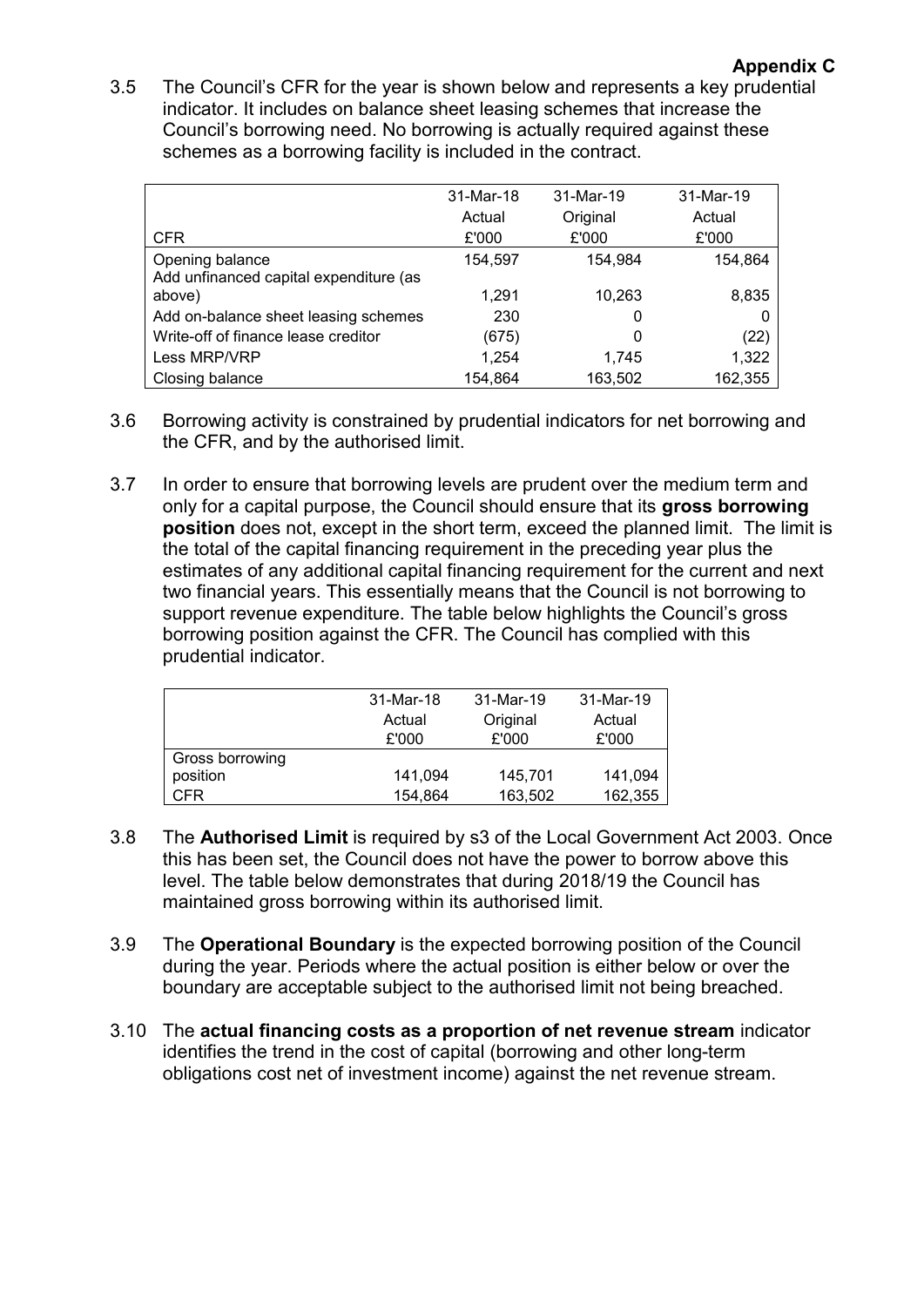3.5 The Council's CFR for the year is shown below and represents a key prudential indicator. It includes on balance sheet leasing schemes that increase the Council's borrowing need. No borrowing is actually required against these schemes as a borrowing facility is included in the contract.

|                                        | 31-Mar-18 | 31-Mar-19 | 31-Mar-19 |
|----------------------------------------|-----------|-----------|-----------|
|                                        | Actual    | Original  | Actual    |
| <b>CFR</b>                             | £'000     | £'000     | £'000     |
| Opening balance                        | 154,597   | 154.984   | 154,864   |
| Add unfinanced capital expenditure (as |           |           |           |
| above)                                 | 1.291     | 10,263    | 8,835     |
| Add on-balance sheet leasing schemes   | 230       | 0         |           |
| Write-off of finance lease creditor    | (675)     | 0         | (22)      |
| Less MRP/VRP                           | 1,254     | 1.745     | 1,322     |
| Closing balance                        | 154.864   | 163,502   | 162,355   |

- 3.6 Borrowing activity is constrained by prudential indicators for net borrowing and the CFR, and by the authorised limit.
- 3.7 In order to ensure that borrowing levels are prudent over the medium term and only for a capital purpose, the Council should ensure that its **gross borrowing position** does not, except in the short term, exceed the planned limit. The limit is the total of the capital financing requirement in the preceding year plus the estimates of any additional capital financing requirement for the current and next two financial years. This essentially means that the Council is not borrowing to support revenue expenditure. The table below highlights the Council's gross borrowing position against the CFR. The Council has complied with this prudential indicator.

|                 | 31-Mar-18 | 31-Mar-19 | 31-Mar-19 |
|-----------------|-----------|-----------|-----------|
|                 | Actual    | Original  | Actual    |
|                 | £'000     | £'000     | £'000     |
| Gross borrowing |           |           |           |
| position        | 141,094   | 145,701   | 141,094   |
| CFR             | 154.864   | 163,502   | 162,355   |

- 3.8 The **Authorised Limit** is required by s3 of the Local Government Act 2003. Once this has been set, the Council does not have the power to borrow above this level. The table below demonstrates that during 2018/19 the Council has maintained gross borrowing within its authorised limit.
- 3.9 The **Operational Boundary** is the expected borrowing position of the Council during the year. Periods where the actual position is either below or over the boundary are acceptable subject to the authorised limit not being breached.
- 3.10 The **actual financing costs as a proportion of net revenue stream** indicator identifies the trend in the cost of capital (borrowing and other long-term obligations cost net of investment income) against the net revenue stream.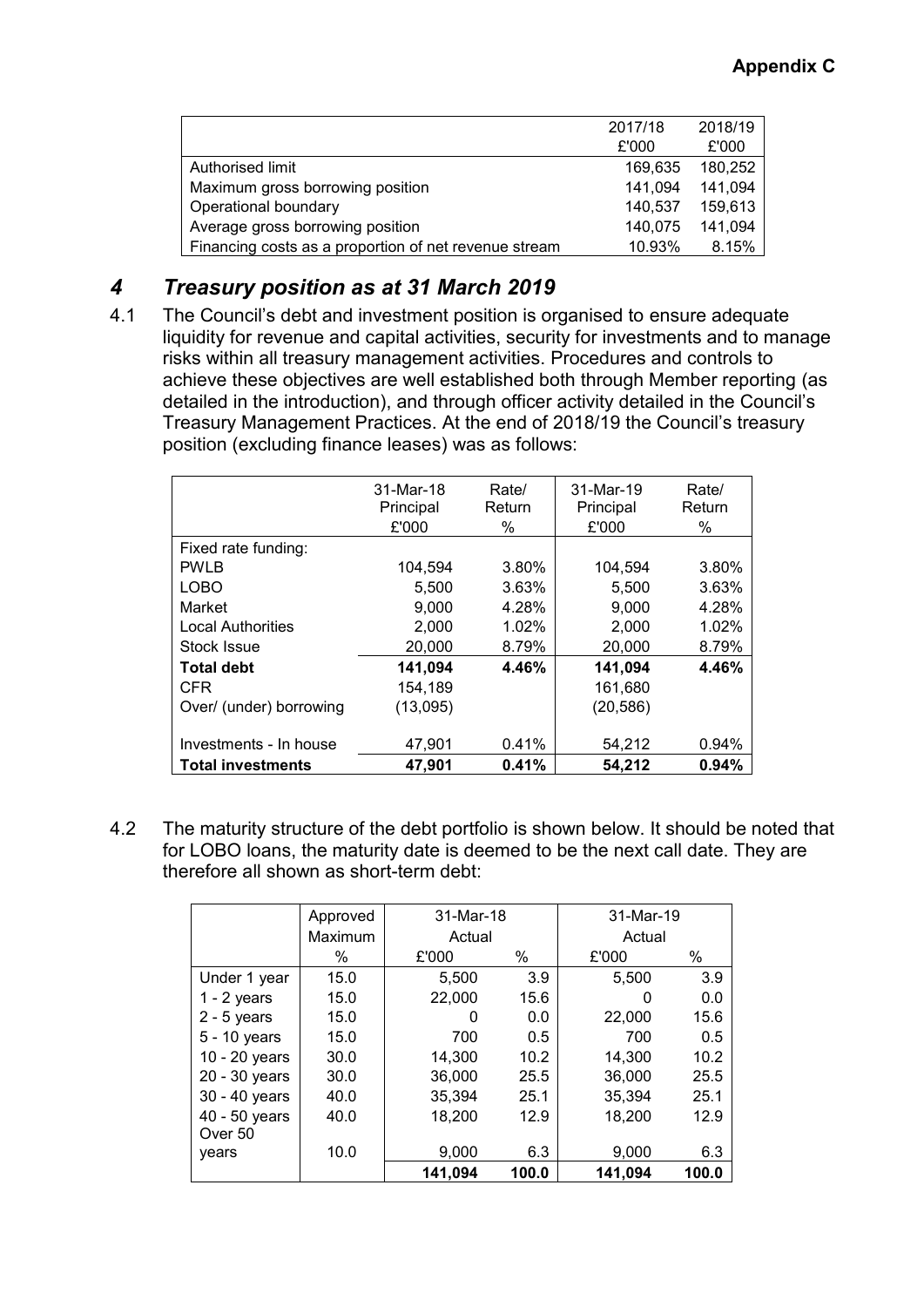|                                                       | 2017/18 | 2018/19 |
|-------------------------------------------------------|---------|---------|
|                                                       | £'000   | £'000   |
| Authorised limit                                      | 169.635 | 180.252 |
| Maximum gross borrowing position                      | 141,094 | 141,094 |
| Operational boundary                                  | 140.537 | 159,613 |
| Average gross borrowing position                      | 140.075 | 141,094 |
| Financing costs as a proportion of net revenue stream | 10.93%  | 8.15%   |

## *4 Treasury position as at 31 March 2019*

4.1 The Council's debt and investment position is organised to ensure adequate liquidity for revenue and capital activities, security for investments and to manage risks within all treasury management activities. Procedures and controls to achieve these objectives are well established both through Member reporting (as detailed in the introduction), and through officer activity detailed in the Council's Treasury Management Practices. At the end of 2018/19 the Council's treasury position (excluding finance leases) was as follows:

|                          | 31-Mar-18<br>Principal<br>£'000 | Rate/<br>Return<br>% | 31-Mar-19<br>Principal<br>£'000 | Rate/<br>Return<br>$\%$ |
|--------------------------|---------------------------------|----------------------|---------------------------------|-------------------------|
| Fixed rate funding:      |                                 |                      |                                 |                         |
| <b>PWLB</b>              | 104,594                         | 3.80%                | 104,594                         | 3.80%                   |
| <b>LOBO</b>              | 5,500                           | 3.63%                | 5,500                           | 3.63%                   |
| Market                   | 9.000                           | 4.28%                | 9.000                           | 4.28%                   |
| <b>Local Authorities</b> | 2,000                           | 1.02%                | 2,000                           | 1.02%                   |
| Stock Issue              | 20,000                          | 8.79%                | 20,000                          | 8.79%                   |
| <b>Total debt</b>        | 141,094                         | 4.46%                | 141,094                         | 4.46%                   |
| <b>CFR</b>               | 154,189                         |                      | 161,680                         |                         |
| Over/ (under) borrowing  | (13,095)                        |                      | (20, 586)                       |                         |
|                          |                                 |                      |                                 |                         |
| Investments - In house   | 47.901                          | 0.41%                | 54,212                          | 0.94%                   |
| <b>Total investments</b> | 47,901                          | 0.41%                | 54,212                          | 0.94%                   |

4.2 The maturity structure of the debt portfolio is shown below. It should be noted that for LOBO loans, the maturity date is deemed to be the next call date. They are therefore all shown as short-term debt:

|                | Approved | 31-Mar-18 |       | 31-Mar-19 |       |
|----------------|----------|-----------|-------|-----------|-------|
|                | Maximum  | Actual    |       | Actual    |       |
|                | $\%$     | £'000     | $\%$  | £'000     | %     |
| Under 1 year   | 15.0     | 5,500     | 3.9   | 5.500     | 3.9   |
| $1 - 2$ years  | 15.0     | 22,000    | 15.6  | 0         | 0.0   |
| $2 - 5$ years  | 15.0     | 0         | 0.0   | 22,000    | 15.6  |
| $5 - 10$ years | 15.0     | 700       | 0.5   | 700       | 0.5   |
| 10 - 20 years  | 30.0     | 14,300    | 10.2  | 14,300    | 10.2  |
| 20 - 30 years  | 30.0     | 36,000    | 25.5  | 36,000    | 25.5  |
| 30 - 40 years  | 40.0     | 35,394    | 25.1  | 35,394    | 25.1  |
| 40 - 50 years  | 40.0     | 18,200    | 12.9  | 18,200    | 12.9  |
| Over 50        |          |           |       |           |       |
| years          | 10.0     | 9,000     | 6.3   | 9,000     | 6.3   |
|                |          | 141,094   | 100.0 | 141,094   | 100.0 |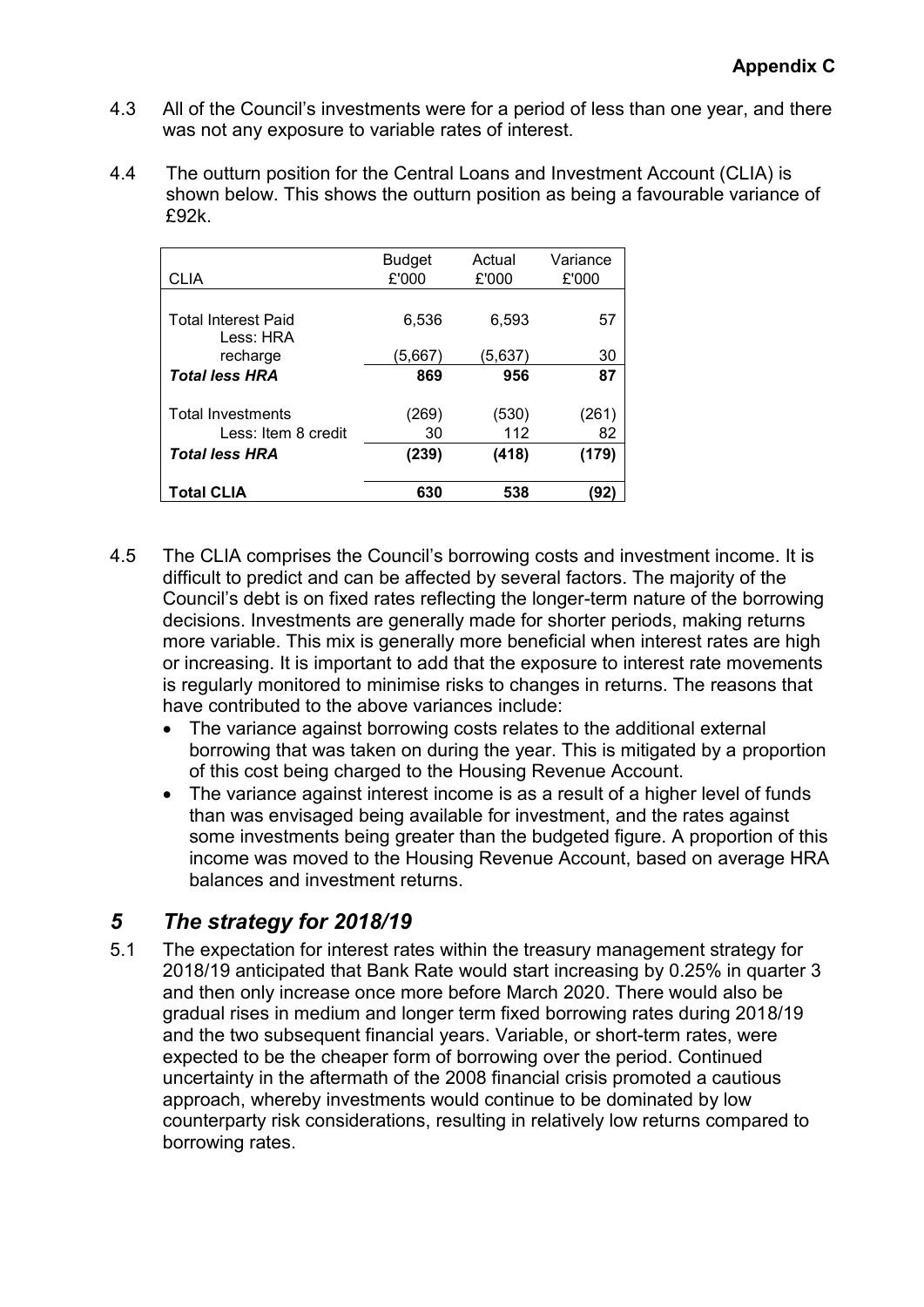- 4.3 All of the Council's investments were for a period of less than one year, and there was not any exposure to variable rates of interest.
- 4.4 The outturn position for the Central Loans and Investment Account (CLIA) is shown below. This shows the outturn position as being a favourable variance of £92k.

| CLIA                                    | <b>Budget</b><br>£'000 | Actual<br>£'000 | Variance<br>£'000 |
|-----------------------------------------|------------------------|-----------------|-------------------|
| <b>Total Interest Paid</b><br>Less: HRA | 6,536                  | 6,593           | 57                |
| recharge                                | (5,667)                | (5,637)         | 30                |
| <b>Total less HRA</b>                   | 869                    | 956             | 87                |
| <b>Total Investments</b>                | (269)                  | (530)           | (261)             |
| Less: Item 8 credit                     | 30                     | 112             | 82                |
| <b>Total less HRA</b>                   | (239)                  | (418)           | (179)             |
| <b>Total CLIA</b>                       | 630                    | 538             | '92               |

- 4.5 The CLIA comprises the Council's borrowing costs and investment income. It is difficult to predict and can be affected by several factors. The majority of the Council's debt is on fixed rates reflecting the longer-term nature of the borrowing decisions. Investments are generally made for shorter periods, making returns more variable. This mix is generally more beneficial when interest rates are high or increasing. It is important to add that the exposure to interest rate movements is regularly monitored to minimise risks to changes in returns. The reasons that have contributed to the above variances include:
	- The variance against borrowing costs relates to the additional external borrowing that was taken on during the year. This is mitigated by a proportion of this cost being charged to the Housing Revenue Account.
	- The variance against interest income is as a result of a higher level of funds than was envisaged being available for investment, and the rates against some investments being greater than the budgeted figure. A proportion of this income was moved to the Housing Revenue Account, based on average HRA balances and investment returns.

# *5 The strategy for 2018/19*

5.1 The expectation for interest rates within the treasury management strategy for 2018/19 anticipated that Bank Rate would start increasing by 0.25% in quarter 3 and then only increase once more before March 2020. There would also be gradual rises in medium and longer term fixed borrowing rates during 2018/19 and the two subsequent financial years. Variable, or short-term rates, were expected to be the cheaper form of borrowing over the period. Continued uncertainty in the aftermath of the 2008 financial crisis promoted a cautious approach, whereby investments would continue to be dominated by low counterparty risk considerations, resulting in relatively low returns compared to borrowing rates.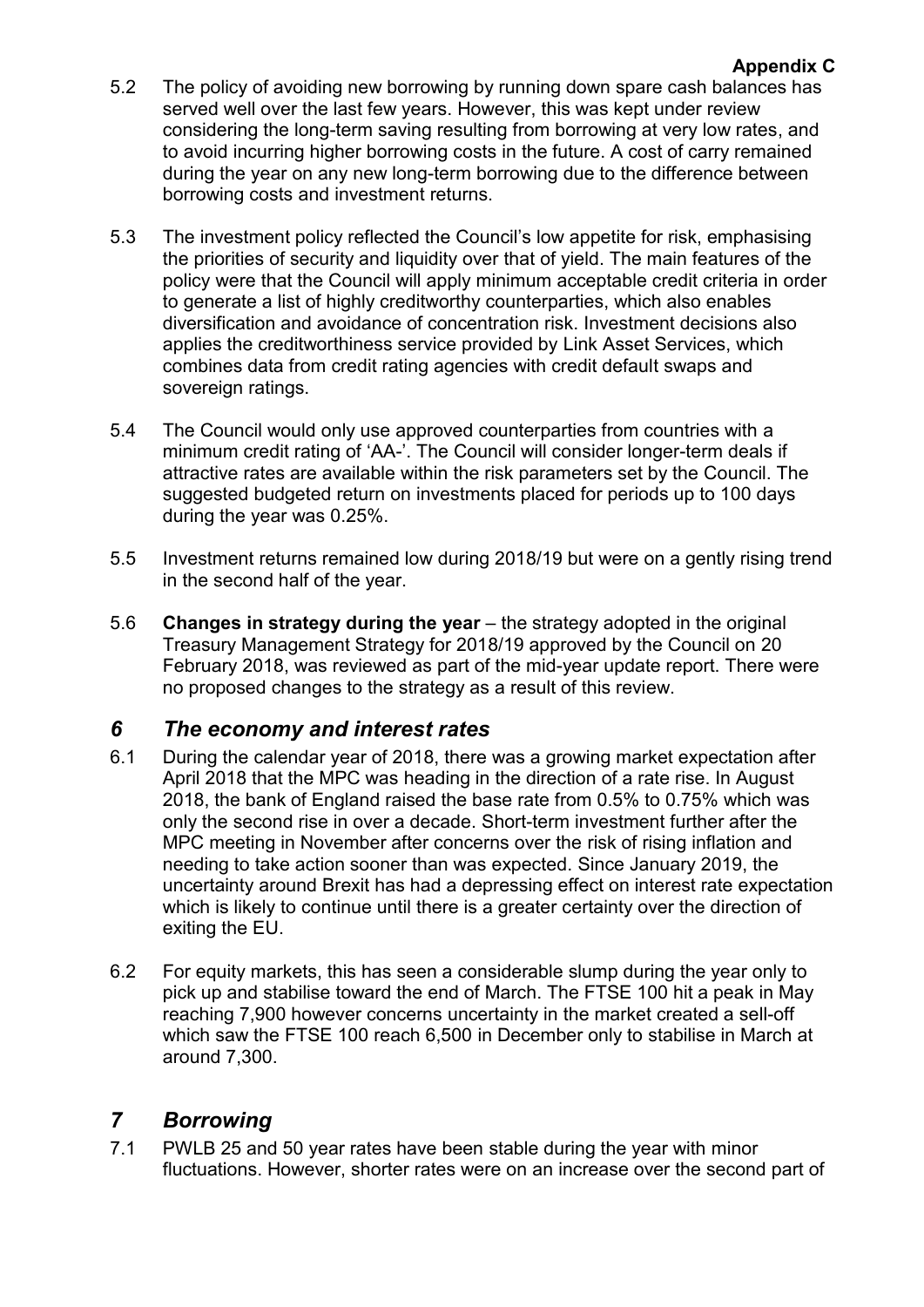- 5.2 The policy of avoiding new borrowing by running down spare cash balances has served well over the last few years. However, this was kept under review considering the long-term saving resulting from borrowing at very low rates, and to avoid incurring higher borrowing costs in the future. A cost of carry remained during the year on any new long-term borrowing due to the difference between borrowing costs and investment returns.
- 5.3 The investment policy reflected the Council's low appetite for risk, emphasising the priorities of security and liquidity over that of yield. The main features of the policy were that the Council will apply minimum acceptable credit criteria in order to generate a list of highly creditworthy counterparties, which also enables diversification and avoidance of concentration risk. Investment decisions also applies the creditworthiness service provided by Link Asset Services, which combines data from credit rating agencies with credit default swaps and sovereign ratings.
- 5.4 The Council would only use approved counterparties from countries with a minimum credit rating of 'AA-'. The Council will consider longer-term deals if attractive rates are available within the risk parameters set by the Council. The suggested budgeted return on investments placed for periods up to 100 days during the year was 0.25%.
- 5.5 Investment returns remained low during 2018/19 but were on a gently rising trend in the second half of the year.
- 5.6 **Changes in strategy during the year** the strategy adopted in the original Treasury Management Strategy for 2018/19 approved by the Council on 20 February 2018, was reviewed as part of the mid-year update report. There were no proposed changes to the strategy as a result of this review.

# *6 The economy and interest rates*

- 6.1 During the calendar year of 2018, there was a growing market expectation after April 2018 that the MPC was heading in the direction of a rate rise. In August 2018, the bank of England raised the base rate from 0.5% to 0.75% which was only the second rise in over a decade. Short-term investment further after the MPC meeting in November after concerns over the risk of rising inflation and needing to take action sooner than was expected. Since January 2019, the uncertainty around Brexit has had a depressing effect on interest rate expectation which is likely to continue until there is a greater certainty over the direction of exiting the EU.
- 6.2 For equity markets, this has seen a considerable slump during the year only to pick up and stabilise toward the end of March. The FTSE 100 hit a peak in May reaching 7,900 however concerns uncertainty in the market created a sell-off which saw the FTSE 100 reach 6,500 in December only to stabilise in March at around 7,300.

## *7 Borrowing*

7.1 PWLB 25 and 50 year rates have been stable during the year with minor fluctuations. However, shorter rates were on an increase over the second part of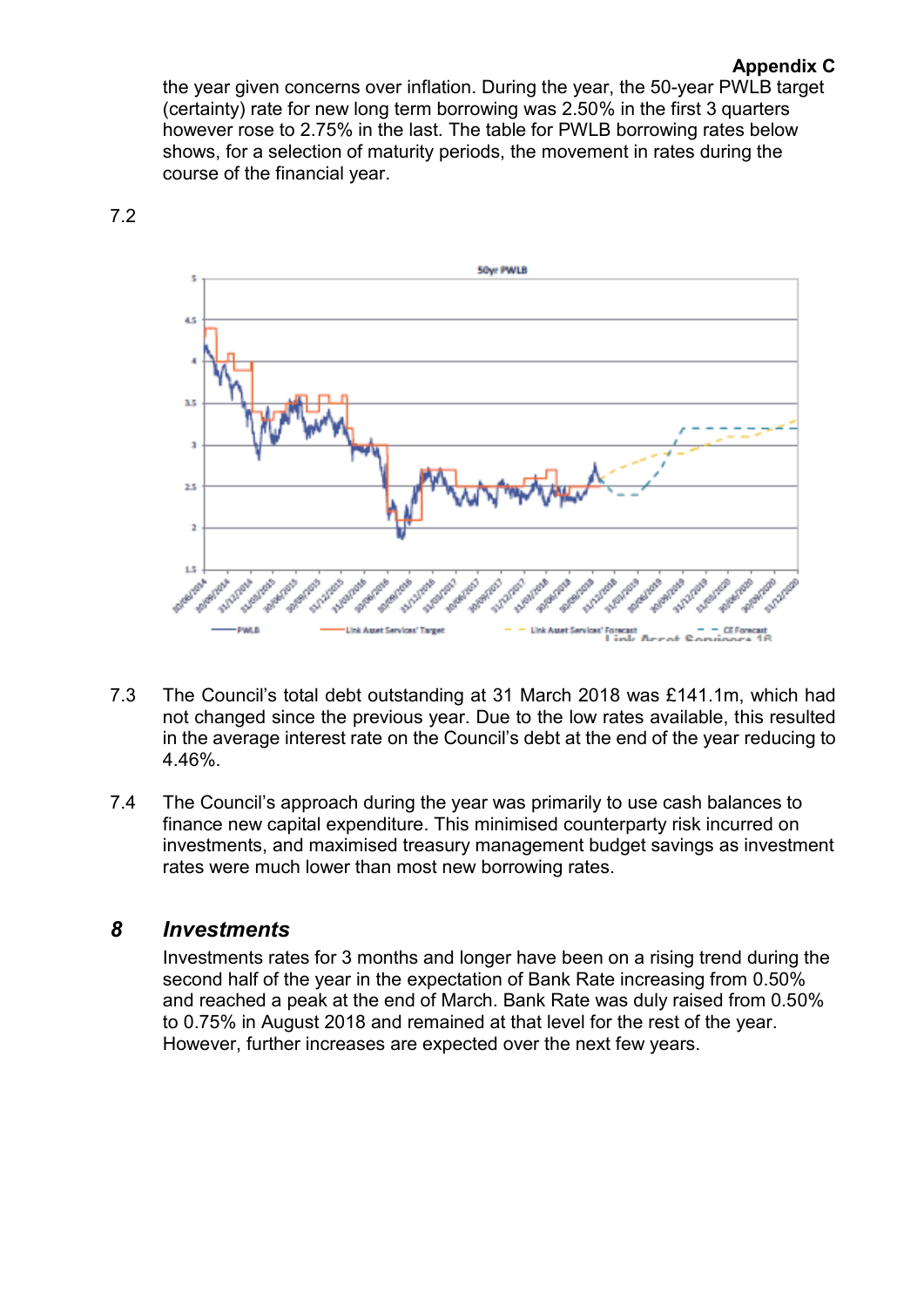### **Appendix C**

the year given concerns over inflation. During the year, the 50-year PWLB target (certainty) rate for new long term borrowing was 2.50% in the first 3 quarters however rose to 2.75% in the last. The table for PWLB borrowing rates below shows, for a selection of maturity periods, the movement in rates during the course of the financial year.



7.2

- 7.3 The Council's total debt outstanding at 31 March 2018 was £141.1m, which had not changed since the previous year. Due to the low rates available, this resulted in the average interest rate on the Council's debt at the end of the year reducing to 4.46%.
- 7.4 The Council's approach during the year was primarily to use cash balances to finance new capital expenditure. This minimised counterparty risk incurred on investments, and maximised treasury management budget savings as investment rates were much lower than most new borrowing rates.

## *8 Investments*

Investments rates for 3 months and longer have been on a rising trend during the second half of the year in the expectation of Bank Rate increasing from 0.50% and reached a peak at the end of March. Bank Rate was duly raised from 0.50% to 0.75% in August 2018 and remained at that level for the rest of the year. However, further increases are expected over the next few years.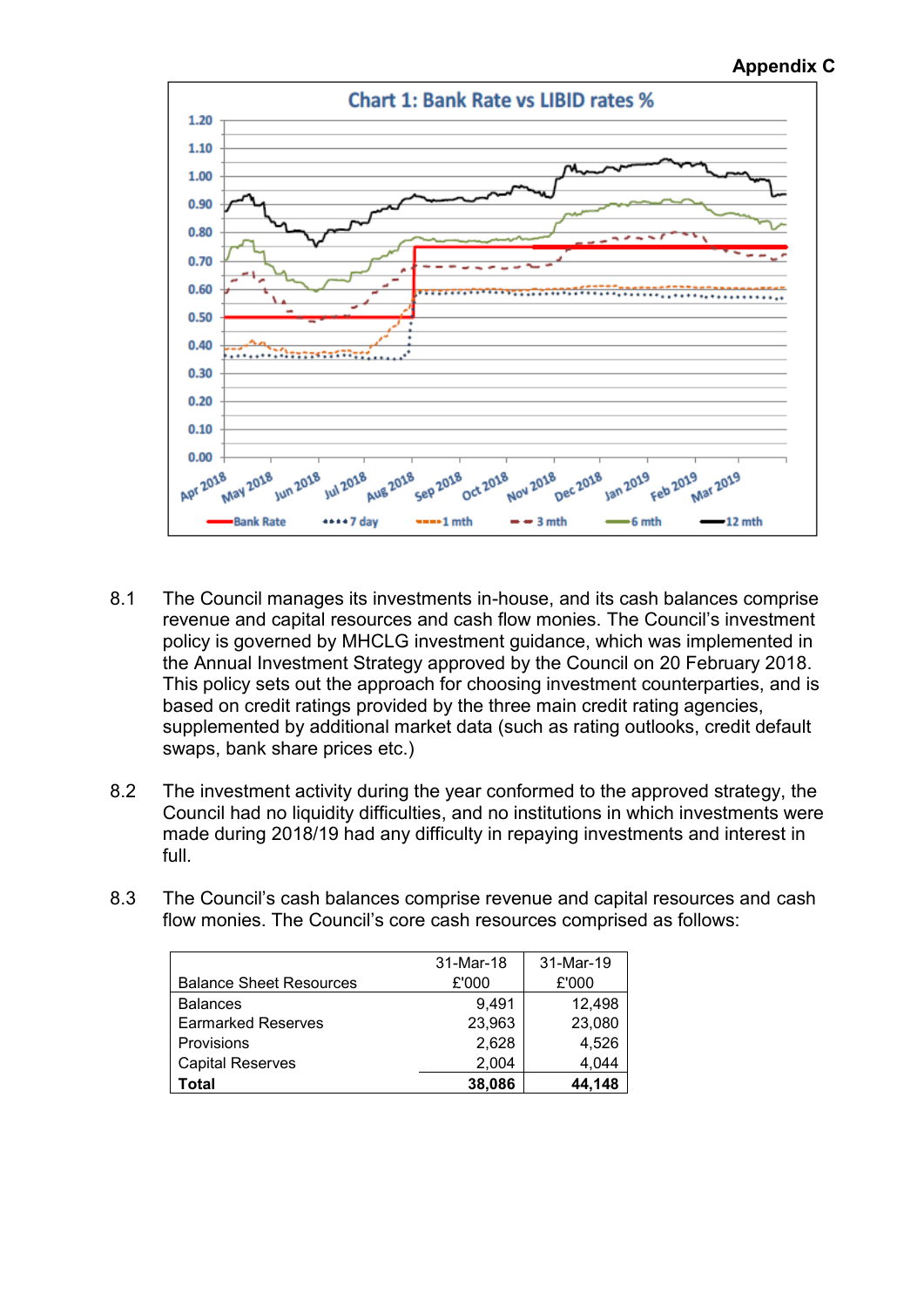## **Appendix C**



- 8.1 The Council manages its investments in-house, and its cash balances comprise revenue and capital resources and cash flow monies. The Council's investment policy is governed by MHCLG investment guidance, which was implemented in the Annual Investment Strategy approved by the Council on 20 February 2018. This policy sets out the approach for choosing investment counterparties, and is based on credit ratings provided by the three main credit rating agencies, supplemented by additional market data (such as rating outlooks, credit default swaps, bank share prices etc.)
- 8.2 The investment activity during the year conformed to the approved strategy, the Council had no liquidity difficulties, and no institutions in which investments were made during 2018/19 had any difficulty in repaying investments and interest in full.
- 8.3 The Council's cash balances comprise revenue and capital resources and cash flow monies. The Council's core cash resources comprised as follows:

|                                | 31-Mar-18 | 31-Mar-19 |
|--------------------------------|-----------|-----------|
| <b>Balance Sheet Resources</b> | £'000     | £'000     |
| <b>Balances</b>                | 9.491     | 12,498    |
| <b>Earmarked Reserves</b>      | 23,963    | 23,080    |
| Provisions                     | 2,628     | 4,526     |
| <b>Capital Reserves</b>        | 2,004     | 4,044     |
| Total                          | 38,086    | 44,148    |